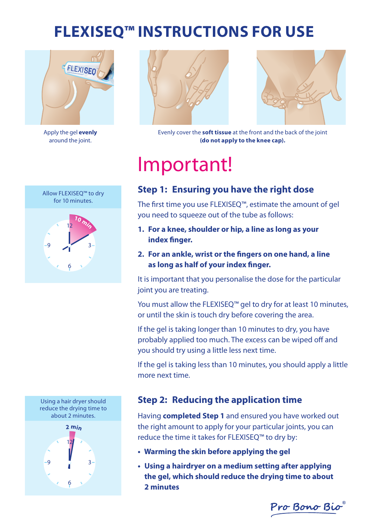## **Flexiseq™ instructions for use**



Apply the gel **evenly** around the joint.





Evenly cover the **soft tissue** at the front and the back of the joint **(do not apply to the knee cap).** 

# Important!

### **Step 1: Ensuring you have the right dose**

The first time you use FLEXISEO™, estimate the amount of gel you need to squeeze out of the tube as follows:

- **1. For a knee, shoulder or hip, a line as long as your index finger.**
- **2. For an ankle, wrist or the fingers on one hand, a line as long as half of your index finger.**

It is important that you personalise the dose for the particular joint you are treating.

You must allow the FLEXISEQ™ gel to dry for at least 10 minutes, or until the skin is touch dry before covering the area.

If the gel is taking longer than 10 minutes to dry, you have probably applied too much. The excess can be wiped off and you should try using a little less next time.

If the gel is taking less than 10 minutes, you should apply a little more next time.

#### **Step 2: Reducing the application time**

Having **completed Step 1** and ensured you have worked out the right amount to apply for your particular joints, you can reduce the time it takes for FLEXISEQ™ to dry by:

- **Warming the skin before applying the gel**
- **Using a hairdryer on a medium setting after applying the gel, which should reduce the drying time to about 2 minutes**